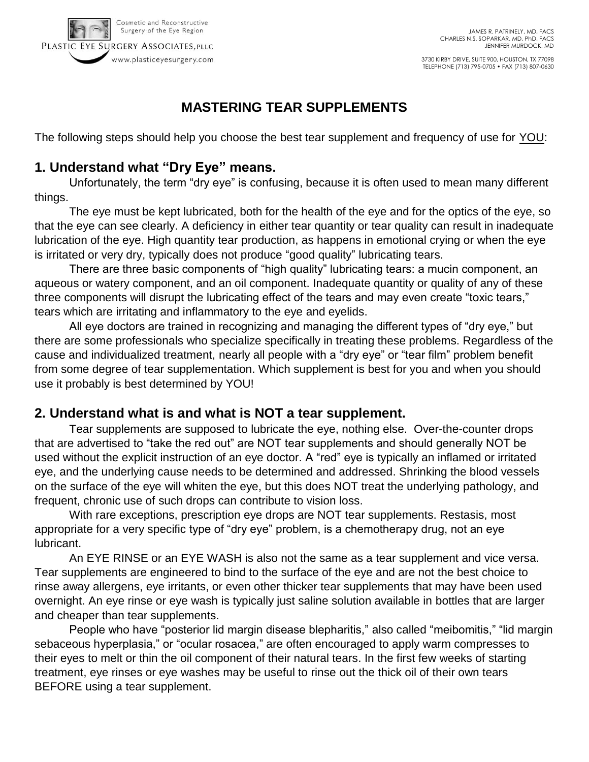

3730 KIRBY DRIVE, SUITE 900, HOUSTON, TX 77098 TELEPHONE (713) 795-0705 • FAX (713) 807-0630

# **MASTERING TEAR SUPPLEMENTS**

The following steps should help you choose the best tear supplement and frequency of use for YOU:

### **1. Understand what "Dry Eye" means.**

Unfortunately, the term "dry eye" is confusing, because it is often used to mean many different things.

The eye must be kept lubricated, both for the health of the eye and for the optics of the eye, so that the eye can see clearly. A deficiency in either tear quantity or tear quality can result in inadequate lubrication of the eye. High quantity tear production, as happens in emotional crying or when the eye is irritated or very dry, typically does not produce "good quality" lubricating tears.

There are three basic components of "high quality" lubricating tears: a mucin component, an aqueous or watery component, and an oil component. Inadequate quantity or quality of any of these three components will disrupt the lubricating effect of the tears and may even create "toxic tears," tears which are irritating and inflammatory to the eye and eyelids.

All eye doctors are trained in recognizing and managing the different types of "dry eye," but there are some professionals who specialize specifically in treating these problems. Regardless of the cause and individualized treatment, nearly all people with a "dry eye" or "tear film" problem benefit from some degree of tear supplementation. Which supplement is best for you and when you should use it probably is best determined by YOU!

#### **2. Understand what is and what is NOT a tear supplement.**

Tear supplements are supposed to lubricate the eye, nothing else. Over-the-counter drops that are advertised to "take the red out" are NOT tear supplements and should generally NOT be used without the explicit instruction of an eye doctor. A "red" eye is typically an inflamed or irritated eye, and the underlying cause needs to be determined and addressed. Shrinking the blood vessels on the surface of the eye will whiten the eye, but this does NOT treat the underlying pathology, and frequent, chronic use of such drops can contribute to vision loss.

With rare exceptions, prescription eye drops are NOT tear supplements. Restasis, most appropriate for a very specific type of "dry eye" problem, is a chemotherapy drug, not an eye lubricant.

An EYE RINSE or an EYE WASH is also not the same as a tear supplement and vice versa. Tear supplements are engineered to bind to the surface of the eye and are not the best choice to rinse away allergens, eye irritants, or even other thicker tear supplements that may have been used overnight. An eye rinse or eye wash is typically just saline solution available in bottles that are larger and cheaper than tear supplements.

People who have "posterior lid margin disease blepharitis," also called "meibomitis," "lid margin sebaceous hyperplasia," or "ocular rosacea," are often encouraged to apply warm compresses to their eyes to melt or thin the oil component of their natural tears. In the first few weeks of starting treatment, eye rinses or eye washes may be useful to rinse out the thick oil of their own tears BEFORE using a tear supplement.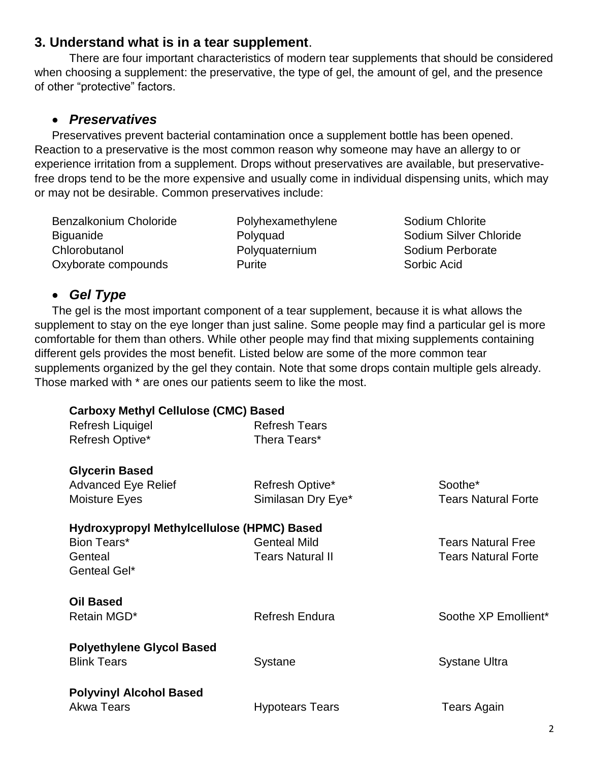### **3. Understand what is in a tear supplement**.

There are four important characteristics of modern tear supplements that should be considered when choosing a supplement: the preservative, the type of gel, the amount of gel, and the presence of other "protective" factors.

#### *Preservatives*

Preservatives prevent bacterial contamination once a supplement bottle has been opened. Reaction to a preservative is the most common reason why someone may have an allergy to or experience irritation from a supplement. Drops without preservatives are available, but preservativefree drops tend to be the more expensive and usually come in individual dispensing units, which may or may not be desirable. Common preservatives include:

Benzalkonium Choloride **Biguanide** Chlorobutanol Oxyborate compounds

Polyhexamethylene Polyquad Polyquaternium Purite

Sodium Chlorite Sodium Silver Chloride Sodium Perborate Sorbic Acid

## *Gel Type*

The gel is the most important component of a tear supplement, because it is what allows the supplement to stay on the eye longer than just saline. Some people may find a particular gel is more comfortable for them than others. While other people may find that mixing supplements containing different gels provides the most benefit. Listed below are some of the more common tear supplements organized by the gel they contain. Note that some drops contain multiple gels already. Those marked with \* are ones our patients seem to like the most.

| <b>Carboxy Methyl Cellulose (CMC) Based</b> |                         |                            |
|---------------------------------------------|-------------------------|----------------------------|
| Refresh Liquigel                            | <b>Refresh Tears</b>    |                            |
| Refresh Optive*                             | Thera Tears*            |                            |
| <b>Glycerin Based</b>                       |                         |                            |
| <b>Advanced Eye Relief</b>                  | Refresh Optive*         | Soothe*                    |
| <b>Moisture Eyes</b>                        | Similasan Dry Eye*      | <b>Tears Natural Forte</b> |
| Hydroxypropyl Methylcellulose (HPMC) Based  |                         |                            |
| Bion Tears*                                 | <b>Genteal Mild</b>     | <b>Tears Natural Free</b>  |
| Genteal                                     | <b>Tears Natural II</b> | <b>Tears Natural Forte</b> |
| Genteal Gel*                                |                         |                            |
| <b>Oil Based</b>                            |                         |                            |
| Retain MGD*                                 | <b>Refresh Endura</b>   | Soothe XP Emollient*       |
| <b>Polyethylene Glycol Based</b>            |                         |                            |
| <b>Blink Tears</b>                          | <b>Systane</b>          | <b>Systane Ultra</b>       |
| <b>Polyvinyl Alcohol Based</b>              |                         |                            |
| Akwa Tears                                  |                         | <b>Tears Again</b>         |
|                                             | <b>Hypotears Tears</b>  |                            |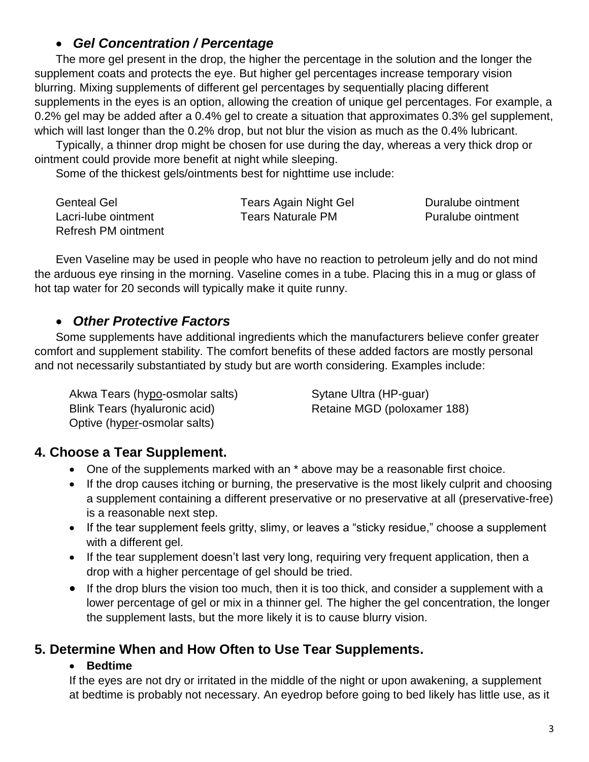### *Gel Concentration / Percentage*

The more gel present in the drop, the higher the percentage in the solution and the longer the supplement coats and protects the eye. But higher gel percentages increase temporary vision blurring. Mixing supplements of different gel percentages by sequentially placing different supplements in the eyes is an option, allowing the creation of unique gel percentages. For example, a 0.2% gel may be added after a 0.4% gel to create a situation that approximates 0.3% gel supplement, which will last longer than the 0.2% drop, but not blur the vision as much as the 0.4% lubricant.

Typically, a thinner drop might be chosen for use during the day, whereas a very thick drop or ointment could provide more benefit at night while sleeping.

Some of the thickest gels/ointments best for nighttime use include:

| <b>Genteal Gel</b>  | <b>Tears Again Night Gel</b> | Duralube ointment |
|---------------------|------------------------------|-------------------|
| Lacri-lube ointment | <b>Tears Naturale PM</b>     | Puralube ointment |
| Refresh PM ointment |                              |                   |

Even Vaseline may be used in people who have no reaction to petroleum jelly and do not mind the arduous eye rinsing in the morning. Vaseline comes in a tube. Placing this in a mug or glass of hot tap water for 20 seconds will typically make it quite runny.

### *Other Protective Factors*

Some supplements have additional ingredients which the manufacturers believe confer greater comfort and supplement stability. The comfort benefits of these added factors are mostly personal and not necessarily substantiated by study but are worth considering. Examples include:

Akwa Tears (hypo-osmolar salts) Blink Tears (hyaluronic acid) Optive (hyper-osmolar salts)

Sytane Ultra (HP-guar) Retaine MGD (poloxamer 188)

### **4. Choose a Tear Supplement.**

- One of the supplements marked with an \* above may be a reasonable first choice.
- If the drop causes itching or burning, the preservative is the most likely culprit and choosing a supplement containing a different preservative or no preservative at all (preservative-free) is a reasonable next step.
- If the tear supplement feels gritty, slimy, or leaves a "sticky residue," choose a supplement with a different gel.
- If the tear supplement doesn't last very long, requiring very frequent application, then a drop with a higher percentage of gel should be tried.
- If the drop blurs the vision too much, then it is too thick, and consider a supplement with a lower percentage of gel or mix in a thinner gel. The higher the gel concentration, the longer the supplement lasts, but the more likely it is to cause blurry vision.

## **5. Determine When and How Often to Use Tear Supplements.**

#### **Bedtime**

If the eyes are not dry or irritated in the middle of the night or upon awakening, a supplement at bedtime is probably not necessary. An eyedrop before going to bed likely has little use, as it